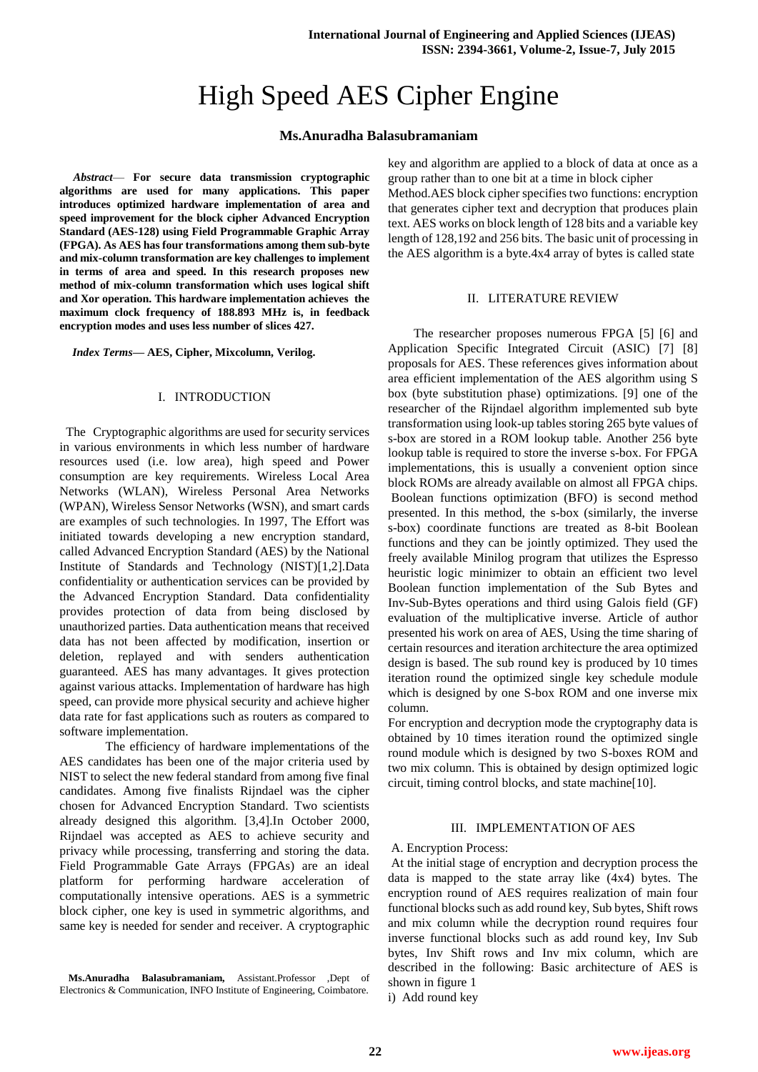# High Speed AES Cipher Engine

# **Ms.Anuradha Balasubramaniam**

*Abstract*— **For secure data transmission cryptographic algorithms are used for many applications. This paper introduces optimized hardware implementation of area and speed improvement for the block cipher Advanced Encryption Standard (AES-128) using Field Programmable Graphic Array (FPGA). As AES has four transformations among them sub-byte and mix-column transformation are key challenges to implement in terms of area and speed. In this research proposes new method of mix-column transformation which uses logical shift and Xor operation. This hardware implementation achieves the maximum clock frequency of 188.893 MHz is, in feedback encryption modes and uses less number of slices 427.**

*Index Terms***— AES, Cipher, Mixcolumn, Verilog.**

## I. INTRODUCTION

 The Cryptographic algorithms are used for security services in various environments in which less number of hardware resources used (i.e. low area), high speed and Power consumption are key requirements. Wireless Local Area Networks (WLAN), Wireless Personal Area Networks (WPAN), Wireless Sensor Networks (WSN), and smart cards are examples of such technologies. In 1997, The Effort was initiated towards developing a new encryption standard, called Advanced Encryption Standard (AES) by the National Institute of Standards and Technology (NIST)[1,2].Data confidentiality or authentication services can be provided by the Advanced Encryption Standard. Data confidentiality provides protection of data from being disclosed by unauthorized parties. Data authentication means that received data has not been affected by modification, insertion or deletion, replayed and with senders authentication guaranteed. AES has many advantages. It gives protection against various attacks. Implementation of hardware has high speed, can provide more physical security and achieve higher data rate for fast applications such as routers as compared to software implementation.

The efficiency of hardware implementations of the AES candidates has been one of the major criteria used by NIST to select the new federal standard from among five final candidates. Among five finalists Rijndael was the cipher chosen for Advanced Encryption Standard. Two scientists already designed this algorithm. [3,4].In October 2000, Rijndael was accepted as AES to achieve security and privacy while processing, transferring and storing the data. Field Programmable Gate Arrays (FPGAs) are an ideal platform for performing hardware acceleration of computationally intensive operations. AES is a symmetric block cipher, one key is used in symmetric algorithms, and same key is needed for sender and receiver. A cryptographic

**Ms.Anuradha Balasubramaniam,** Assistant.Professor ,Dept of Electronics & Communication, INFO Institute of Engineering, Coimbatore.

key and algorithm are applied to a block of data at once as a group rather than to one bit at a time in block cipher Method.AES block cipher specifies two functions: encryption that generates cipher text and decryption that produces plain text. AES works on block length of 128 bits and a variable key length of 128,192 and 256 bits. The basic unit of processing in the AES algorithm is a byte.4x4 array of bytes is called state

# II. LITERATURE REVIEW

 The researcher proposes numerous FPGA [5] [6] and Application Specific Integrated Circuit (ASIC) [7] [8] proposals for AES. These references gives information about area efficient implementation of the AES algorithm using S box (byte substitution phase) optimizations. [9] one of the researcher of the Rijndael algorithm implemented sub byte transformation using look-up tables storing 265 byte values of s-box are stored in a ROM lookup table. Another 256 byte lookup table is required to store the inverse s-box. For FPGA implementations, this is usually a convenient option since block ROMs are already available on almost all FPGA chips. Boolean functions optimization (BFO) is second method presented. In this method, the s-box (similarly, the inverse s-box) coordinate functions are treated as 8-bit Boolean functions and they can be jointly optimized. They used the freely available Minilog program that utilizes the Espresso heuristic logic minimizer to obtain an efficient two level Boolean function implementation of the Sub Bytes and Inv-Sub-Bytes operations and third using Galois field (GF) evaluation of the multiplicative inverse. Article of author presented his work on area of AES, Using the time sharing of certain resources and iteration architecture the area optimized design is based. The sub round key is produced by 10 times iteration round the optimized single key schedule module which is designed by one S-box ROM and one inverse mix column.

For encryption and decryption mode the cryptography data is obtained by 10 times iteration round the optimized single round module which is designed by two S-boxes ROM and two mix column. This is obtained by design optimized logic circuit, timing control blocks, and state machine[10].

#### III. IMPLEMENTATION OF AES

#### A. Encryption Process:

At the initial stage of encryption and decryption process the data is mapped to the state array like (4x4) bytes. The encryption round of AES requires realization of main four functional blocks such as add round key, Sub bytes, Shift rows and mix column while the decryption round requires four inverse functional blocks such as add round key, Inv Sub bytes, Inv Shift rows and Inv mix column, which are described in the following: Basic architecture of AES is shown in figure 1

i) Add round key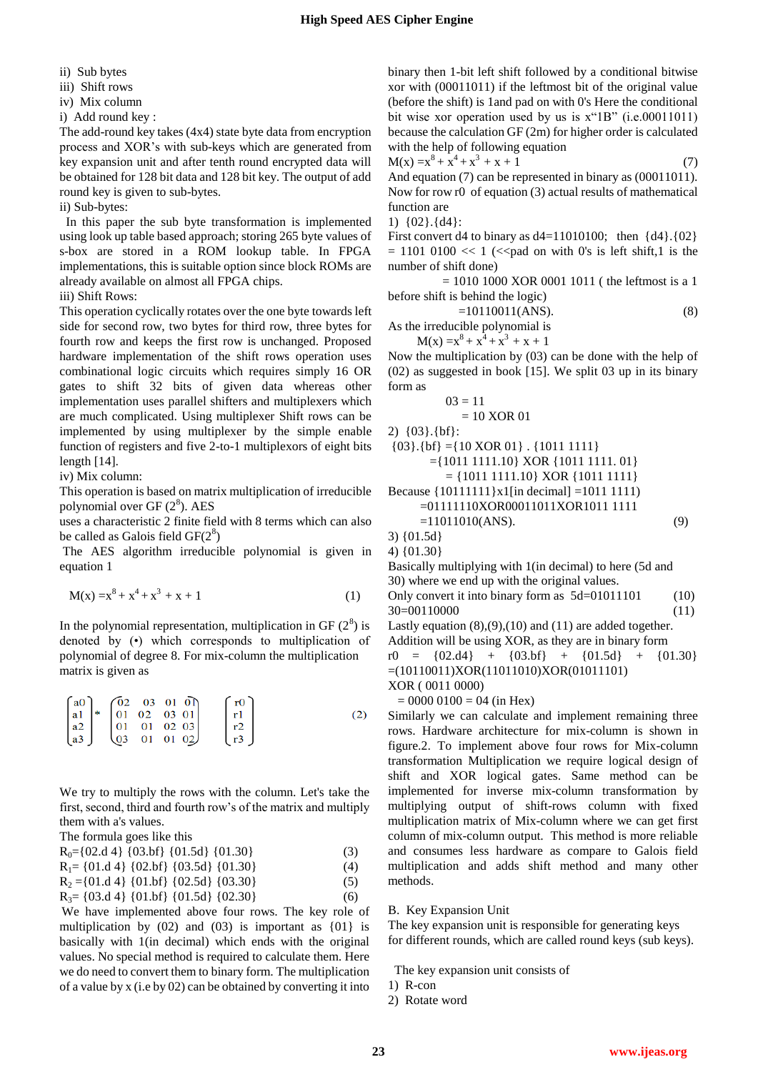- ii) Sub bytes
- iii) Shift rows
- iv) Mix column
- i) Add round key :

The add-round key takes (4x4) state byte data from encryption process and XOR's with sub-keys which are generated from key expansion unit and after tenth round encrypted data will be obtained for 128 bit data and 128 bit key. The output of add round key is given to sub-bytes.

# ii) Sub-bytes:

 In this paper the sub byte transformation is implemented using look up table based approach; storing 265 byte values of s-box are stored in a ROM lookup table. In FPGA implementations, this is suitable option since block ROMs are already available on almost all FPGA chips.

iii) Shift Rows:

This operation cyclically rotates over the one byte towards left side for second row, two bytes for third row, three bytes for fourth row and keeps the first row is unchanged. Proposed hardware implementation of the shift rows operation uses combinational logic circuits which requires simply 16 OR gates to shift 32 bits of given data whereas other implementation uses parallel shifters and multiplexers which are much complicated. Using multiplexer Shift rows can be implemented by using multiplexer by the simple enable function of registers and five 2-to-1 multiplexors of eight bits length [14].

iv) Mix column:

This operation is based on matrix multiplication of irreducible polynomial over GF  $(2^8)$ . AES

uses a characteristic 2 finite field with 8 terms which can also be called as Galois field  $GF(2^8)$ 

The AES algorithm irreducible polynomial is given in equation 1

$$
M(x) = x8 + x4 + x3 + x + 1
$$
 (1)

In the polynomial representation, multiplication in GF  $(2^8)$  is denoted by (•) which corresponds to multiplication of polynomial of degree 8. For mix-column the multiplication matrix is given as

$$
\begin{bmatrix} a0 \\ a1 \\ a2 \\ a3 \end{bmatrix} * \begin{bmatrix} 02 & 03 & 01 & 0 \end{bmatrix} \begin{bmatrix} r0 \\ r1 \\ r2 \\ r3 \end{bmatrix}
$$
 (2)

We try to multiply the rows with the column. Let's take the first, second, third and fourth row's of the matrix and multiply them with a's values.

The formula goes like this

| $R_0 = \{02.d4\}$ {03.bf} {01.5d} {01.30}       | (3) |
|-------------------------------------------------|-----|
| $R_1 = \{01.d4\} \{02.bf\} \{03.5d\} \{01.30\}$ | (4) |
| $R_2 = \{01.d4\} \{01.bf\} \{02.5d\} \{03.30\}$ | (5) |
| $R_3 = \{03.d4\} \{01.bf\} \{01.5d\} \{02.30\}$ | (6) |
|                                                 |     |

We have implemented above four rows. The key role of multiplication by  $(02)$  and  $(03)$  is important as  $\{01\}$  is basically with 1(in decimal) which ends with the original values. No special method is required to calculate them. Here we do need to convert them to binary form. The multiplication of a value by x (i.e by 02) can be obtained by converting it into binary then 1-bit left shift followed by a conditional bitwise xor with (00011011) if the leftmost bit of the original value (before the shift) is 1and pad on with 0's Here the conditional bit wise xor operation used by us is x"1B" (i.e.00011011) because the calculation GF (2m) for higher order is calculated with the help of following equation

$$
M(x) = x8 + x4 + x3 + x + 1
$$
 (7)

And equation (7) can be represented in binary as (00011011). Now for row r0 of equation (3) actual results of mathematical function are

1) {02}.{d4}:

First convert d4 to binary as  $d4=11010100$ ; then  $\{d4\}.\{02\}$  $= 1101$  0100  $<< 1$  ( $<<$ pad on with 0's is left shift,1 is the number of shift done)

 $= 1010 1000 XOR 0001 1011$  (the leftmost is a 1 before shift is behind the logic)

 $=10110011(ANS).$  (8) As the irreducible polynomial is

$$
M(x) = x^8 + x^4 + x^3 + x + 1
$$

Now the multiplication by (03) can be done with the help of (02) as suggested in book [15]. We split 03 up in its binary form as

$$
03 = 11
$$
  
= 10 XOR 01  
2) {03}.{bf}:

$$
\{03\}. \{bfbf} = \{10 \text{ XOR } 01\} \cdot \{1011 \ 1111\}
$$
\n
$$
= \{1011 \ 1111.10\} \text{ XOR } \{1011 \ 1111.01\}
$$
\n
$$
= \{1011 \ 1111.10\} \text{ XOR } \{1011 \ 1111\}
$$
\nBecause  $\{10111111\} \times 1$  [in decimal] = 1011 1111)  
\n= 011111110XOR00011011XOR1011 1111  
\n= 11011010(ANS). (9)

3) {01.5d} 4) {01.30}

Basically multiplying with 1(in decimal) to here (5d and 30) where we end up with the original values.

Only convert it into binary form as  $5d=01011101$  (10) 30=00110000 (11)

Lastly equation  $(8)$ , $(9)$ , $(10)$  and  $(11)$  are added together. Addition will be using XOR, as they are in binary form  $r0 = \{02.14\} + \{03.16\} + \{01.51\} + \{01.30\}$ =(10110011)XOR(11011010)XOR(01011101) XOR ( 0011 0000)

 $= 0000 0100 = 04$  (in Hex)

Similarly we can calculate and implement remaining three rows. Hardware architecture for mix-column is shown in figure.2. To implement above four rows for Mix-column transformation Multiplication we require logical design of shift and XOR logical gates. Same method can be implemented for inverse mix-column transformation by multiplying output of shift-rows column with fixed multiplication matrix of Mix-column where we can get first column of mix-column output. This method is more reliable and consumes less hardware as compare to Galois field multiplication and adds shift method and many other methods.

## B. Key Expansion Unit

The key expansion unit is responsible for generating keys for different rounds, which are called round keys (sub keys).

The key expansion unit consists of

- 1) R-con
- 2) Rotate word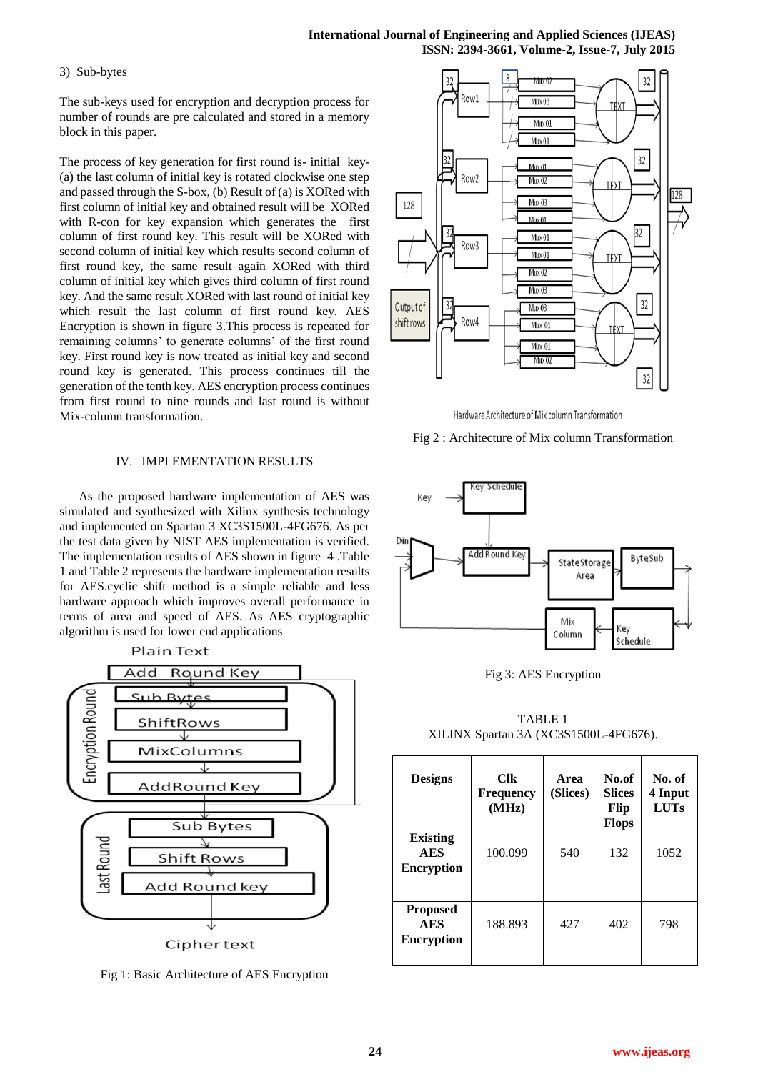# **International Journal of Engineering and Applied Sciences (IJEAS) ISSN: 2394-3661, Volume-2, Issue-7, July 2015**

## 3) Sub-bytes

The sub-keys used for encryption and decryption process for number of rounds are pre calculated and stored in a memory block in this paper.

The process of key generation for first round is- initial key- (a) the last column of initial key is rotated clockwise one step and passed through the S-box, (b) Result of (a) is XORed with first column of initial key and obtained result will be XORed with R-con for key expansion which generates the first column of first round key. This result will be XORed with second column of initial key which results second column of first round key, the same result again XORed with third column of initial key which gives third column of first round key. And the same result XORed with last round of initial key which result the last column of first round key. AES Encryption is shown in figure 3.This process is repeated for remaining columns' to generate columns' of the first round key. First round key is now treated as initial key and second round key is generated. This process continues till the generation of the tenth key. AES encryption process continues from first round to nine rounds and last round is without Mix-column transformation.

## IV. IMPLEMENTATION RESULTS

As the proposed hardware implementation of AES was simulated and synthesized with Xilinx synthesis technology and implemented on Spartan 3 XC3S1500L-4FG676. As per the test data given by NIST AES implementation is verified. The implementation results of AES shown in figure 4 .Table 1 and Table 2 represents the hardware implementation results for AES.cyclic shift method is a simple reliable and less hardware approach which improves overall performance in terms of area and speed of AES. As AES cryptographic algorithm is used for lower end applications



Fig 1: Basic Architecture of AES Encryption



Hardware Architecture of Mix column Transformation

Fig 2 : Architecture of Mix column Transformation



Fig 3: AES Encryption

TABLE 1 XILINX Spartan 3A (XC3S1500L-4FG676).

| <b>Designs</b>                                     | <b>Clk</b><br><b>Frequency</b><br>(MHz) | Area<br>(Slices) | No.of<br><b>Slices</b><br>Flip<br><b>Flops</b> | No. of<br>4 Input<br><b>LUTs</b> |
|----------------------------------------------------|-----------------------------------------|------------------|------------------------------------------------|----------------------------------|
| <b>Existing</b><br><b>AES</b><br><b>Encryption</b> | 100.099                                 | 540              | 132                                            | 1052                             |
| <b>Proposed</b><br><b>AES</b><br><b>Encryption</b> | 188.893                                 | 427              | 402                                            | 798                              |